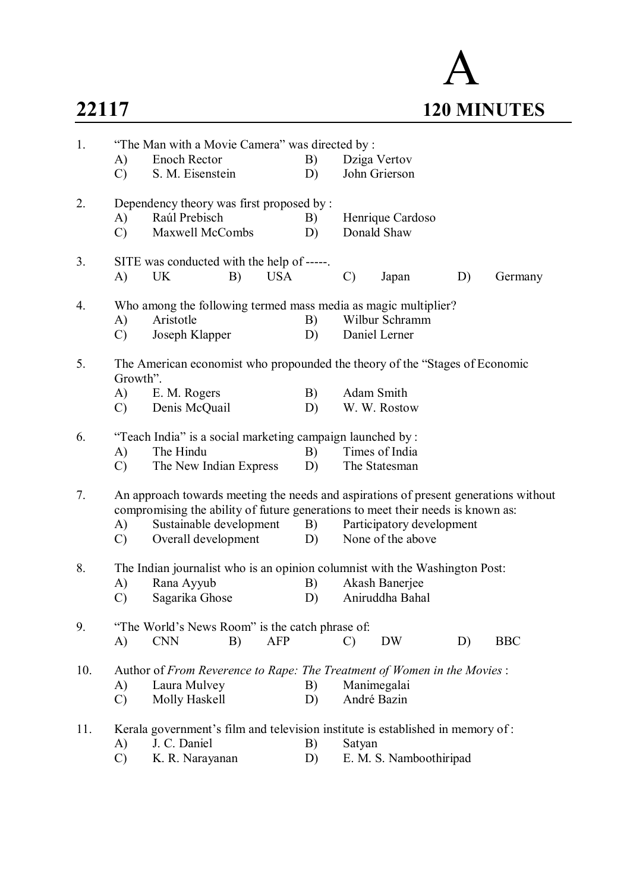# A **22117 120 MINUTES**

| 1.  | "The Man with a Movie Camera" was directed by:                                                                                                                          |                                                                                |    |            |    |                           |                         |    |            |  |  |  |
|-----|-------------------------------------------------------------------------------------------------------------------------------------------------------------------------|--------------------------------------------------------------------------------|----|------------|----|---------------------------|-------------------------|----|------------|--|--|--|
|     | A)                                                                                                                                                                      | <b>Enoch Rector</b>                                                            |    |            | B) | Dziga Vertov              |                         |    |            |  |  |  |
|     | $\mathcal{C}$                                                                                                                                                           | S. M. Eisenstein                                                               |    |            | D) |                           | John Grierson           |    |            |  |  |  |
| 2.  |                                                                                                                                                                         | Dependency theory was first proposed by:                                       |    |            |    |                           |                         |    |            |  |  |  |
|     | A)                                                                                                                                                                      | Raúl Prebisch                                                                  |    |            | B) | Henrique Cardoso          |                         |    |            |  |  |  |
|     | $\mathcal{C}$                                                                                                                                                           | Maxwell McCombs                                                                |    |            | D) |                           | Donald Shaw             |    |            |  |  |  |
| 3.  |                                                                                                                                                                         | SITE was conducted with the help of -----.                                     |    |            |    |                           |                         |    |            |  |  |  |
|     | A)                                                                                                                                                                      | UK                                                                             | B) | <b>USA</b> |    | $\mathcal{C}$             | Japan                   | D) | Germany    |  |  |  |
| 4.  |                                                                                                                                                                         | Who among the following termed mass media as magic multiplier?                 |    |            |    |                           |                         |    |            |  |  |  |
|     | A)                                                                                                                                                                      | Aristotle                                                                      |    |            | B) | Wilbur Schramm            |                         |    |            |  |  |  |
|     | $\mathcal{C}$                                                                                                                                                           | Joseph Klapper                                                                 |    |            | D) |                           | Daniel Lerner           |    |            |  |  |  |
| 5.  | The American economist who propounded the theory of the "Stages of Economic<br>Growth".                                                                                 |                                                                                |    |            |    |                           |                         |    |            |  |  |  |
|     | A)                                                                                                                                                                      | E. M. Rogers                                                                   |    |            | B) |                           | Adam Smith              |    |            |  |  |  |
|     | $\mathcal{C}$                                                                                                                                                           | Denis McQuail                                                                  |    |            | D) |                           | W. W. Rostow            |    |            |  |  |  |
| 6.  |                                                                                                                                                                         | "Teach India" is a social marketing campaign launched by :                     |    |            |    |                           |                         |    |            |  |  |  |
|     | A)                                                                                                                                                                      | The Hindu                                                                      |    |            | B) |                           | Times of India          |    |            |  |  |  |
|     | $\mathcal{C}$                                                                                                                                                           | The New Indian Express                                                         |    |            | D) |                           | The Statesman           |    |            |  |  |  |
| 7.  | An approach towards meeting the needs and aspirations of present generations without<br>compromising the ability of future generations to meet their needs is known as: |                                                                                |    |            |    |                           |                         |    |            |  |  |  |
|     | A)                                                                                                                                                                      | Sustainable development                                                        |    |            | B) | Participatory development |                         |    |            |  |  |  |
|     | $\mathcal{C}$                                                                                                                                                           | Overall development                                                            |    |            | D) |                           | None of the above       |    |            |  |  |  |
| 8.  | The Indian journalist who is an opinion columnist with the Washington Post:                                                                                             |                                                                                |    |            |    |                           |                         |    |            |  |  |  |
|     | A)                                                                                                                                                                      | Rana Ayyub                                                                     |    |            | B) |                           | Akash Banerjee          |    |            |  |  |  |
|     | $\mathcal{C}$                                                                                                                                                           | Sagarika Ghose                                                                 |    |            | D) |                           | Aniruddha Bahal         |    |            |  |  |  |
| 9.  |                                                                                                                                                                         | "The World's News Room" is the catch phrase of:                                |    |            |    |                           |                         |    |            |  |  |  |
|     | A)                                                                                                                                                                      | <b>CNN</b>                                                                     | B) | <b>AFP</b> |    | $\mathcal{C}$             | <b>DW</b>               | D) | <b>BBC</b> |  |  |  |
| 10. |                                                                                                                                                                         | Author of From Reverence to Rape: The Treatment of Women in the Movies:        |    |            |    |                           |                         |    |            |  |  |  |
|     | A)                                                                                                                                                                      | Laura Mulvey                                                                   |    |            | B) |                           | Manimegalai             |    |            |  |  |  |
|     | $\mathcal{C}$                                                                                                                                                           | Molly Haskell                                                                  |    |            | D) |                           | André Bazin             |    |            |  |  |  |
| 11. |                                                                                                                                                                         | Kerala government's film and television institute is established in memory of: |    |            |    |                           |                         |    |            |  |  |  |
|     | A)                                                                                                                                                                      | J. C. Daniel                                                                   |    |            | B) | Satyan                    |                         |    |            |  |  |  |
|     | $\mathcal{C}$                                                                                                                                                           | K. R. Narayanan                                                                |    |            | D) |                           | E. M. S. Namboothiripad |    |            |  |  |  |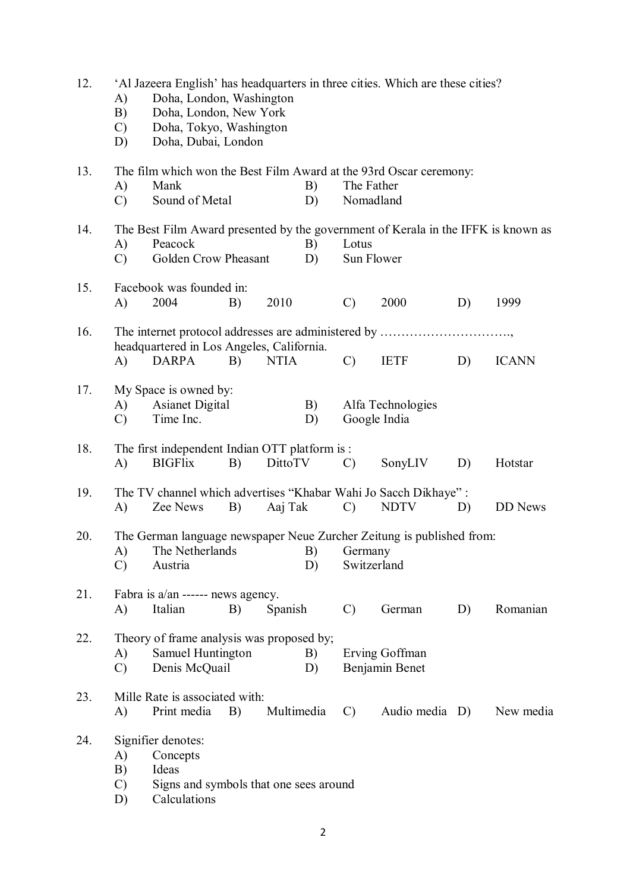| 12. | A)<br>B)<br>$\mathcal{C}$<br>D) | 'Al Jazeera English' has headquarters in three cities. Which are these cities?<br>Doha, London, Washington<br>Doha, London, New York<br>Doha, Tokyo, Washington<br>Doha, Dubai, London |    |             |          |                         |                                                                                   |    |                |  |  |  |
|-----|---------------------------------|----------------------------------------------------------------------------------------------------------------------------------------------------------------------------------------|----|-------------|----------|-------------------------|-----------------------------------------------------------------------------------|----|----------------|--|--|--|
| 13. | A)<br>$\mathcal{C}$             | Mank<br>Sound of Metal                                                                                                                                                                 |    |             | B)<br>D) | The Father<br>Nomadland | The film which won the Best Film Award at the 93rd Oscar ceremony:                |    |                |  |  |  |
| 14. | A)<br>C)                        | Peacock<br>Golden Crow Pheasant                                                                                                                                                        |    |             | B)<br>D) | Lotus<br>Sun Flower     | The Best Film Award presented by the government of Kerala in the IFFK is known as |    |                |  |  |  |
| 15. | A)                              | Facebook was founded in:<br>2004                                                                                                                                                       | B) | 2010        |          | $\mathcal{C}$           | 2000                                                                              | D) | 1999           |  |  |  |
| 16. | A)                              | headquartered in Los Angeles, California.<br><b>DARPA</b>                                                                                                                              | B) | <b>NTIA</b> |          | $\mathcal{C}$           | The internet protocol addresses are administered by<br><b>IETF</b>                | D) | <b>ICANN</b>   |  |  |  |
| 17. | A)<br>$\mathcal{C}$             | My Space is owned by:<br><b>Asianet Digital</b><br>B)<br>Time Inc.<br>D)                                                                                                               |    |             |          |                         | Alfa Technologies<br>Google India                                                 |    |                |  |  |  |
| 18. | A)                              | The first independent Indian OTT platform is:<br><b>BIGFlix</b><br>B)<br>DittoTV                                                                                                       |    |             |          | $\mathcal{C}$           | SonyLIV                                                                           | D) | Hotstar        |  |  |  |
| 19. | A)                              | Zee News                                                                                                                                                                               | B) | Aaj Tak     |          | $\mathcal{C}$           | The TV channel which advertises "Khabar Wahi Jo Sacch Dikhaye":<br><b>NDTV</b>    | D) | <b>DD</b> News |  |  |  |
| 20. | A)<br>$\mathcal{C}$             | The Netherlands B) Germany<br>Austria                                                                                                                                                  |    |             | D)       | Switzerland             | The German language newspaper Neue Zurcher Zeitung is published from:             |    |                |  |  |  |
| 21. | A)                              | Fabra is $a$ /an ------ news agency.<br>Italian                                                                                                                                        | B) | Spanish     |          | $\mathcal{C}$           | German                                                                            | D) | Romanian       |  |  |  |
| 22. | A)<br>$\mathcal{C}$             | Theory of frame analysis was proposed by;<br>Samuel Huntington<br>Denis McQuail                                                                                                        |    |             | B)<br>D) |                         | Erving Goffman<br>Benjamin Benet                                                  |    |                |  |  |  |
| 23. | A)                              | Mille Rate is associated with:<br>Print media                                                                                                                                          | B) | Multimedia  |          | $\mathcal{C}$           | Audio media D)                                                                    |    | New media      |  |  |  |
| 24. | A)<br>B)<br>$\mathcal{C}$<br>D) | Signifier denotes:<br>Concepts<br>Ideas<br>Signs and symbols that one sees around<br>Calculations                                                                                      |    |             |          |                         |                                                                                   |    |                |  |  |  |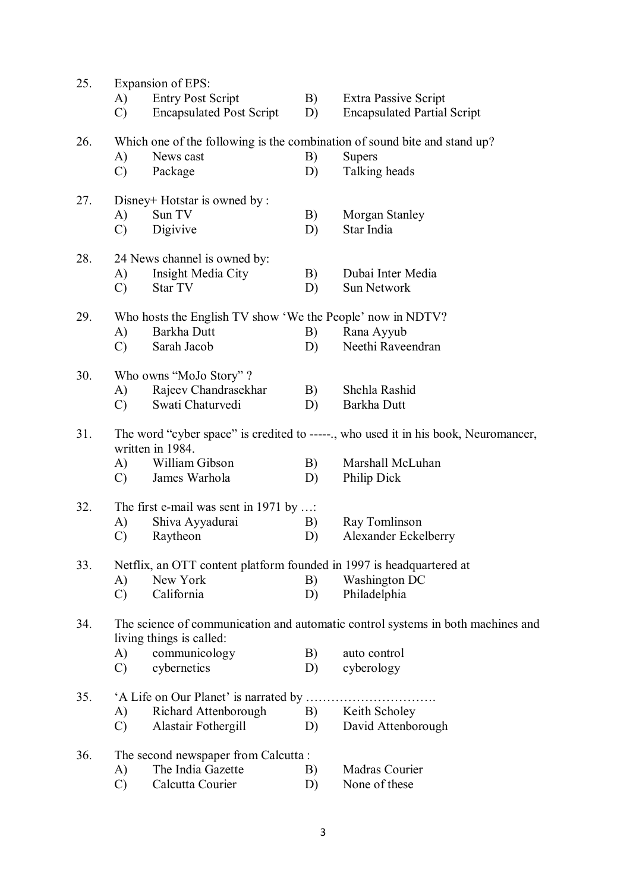| 25. |                                                                                                        | Expansion of EPS:                                          |    |                                                                                 |  |  |  |  |  |  |
|-----|--------------------------------------------------------------------------------------------------------|------------------------------------------------------------|----|---------------------------------------------------------------------------------|--|--|--|--|--|--|
|     | A)                                                                                                     | <b>Entry Post Script</b>                                   | B) | <b>Extra Passive Script</b>                                                     |  |  |  |  |  |  |
|     | $\mathcal{C}$                                                                                          | <b>Encapsulated Post Script</b>                            | D) | <b>Encapsulated Partial Script</b>                                              |  |  |  |  |  |  |
| 26. |                                                                                                        |                                                            |    | Which one of the following is the combination of sound bite and stand up?       |  |  |  |  |  |  |
|     | A)                                                                                                     | News cast                                                  | B) | <b>Supers</b>                                                                   |  |  |  |  |  |  |
|     | $\mathcal{C}$                                                                                          | Package                                                    | D) | Talking heads                                                                   |  |  |  |  |  |  |
| 27. |                                                                                                        | Disney+ Hotstar is owned by:                               |    |                                                                                 |  |  |  |  |  |  |
|     | A)                                                                                                     | Sun TV                                                     | B) | Morgan Stanley                                                                  |  |  |  |  |  |  |
|     | $\mathcal{C}$                                                                                          | Digivive                                                   | D) | Star India                                                                      |  |  |  |  |  |  |
| 28. |                                                                                                        | 24 News channel is owned by:                               |    |                                                                                 |  |  |  |  |  |  |
|     | A)                                                                                                     | Insight Media City                                         | B) | Dubai Inter Media                                                               |  |  |  |  |  |  |
|     | $\mathcal{C}$                                                                                          | Star TV                                                    | D) | Sun Network                                                                     |  |  |  |  |  |  |
| 29. |                                                                                                        | Who hosts the English TV show 'We the People' now in NDTV? |    |                                                                                 |  |  |  |  |  |  |
|     | A)                                                                                                     | Barkha Dutt                                                | B) | Rana Ayyub                                                                      |  |  |  |  |  |  |
|     | $\mathcal{C}$                                                                                          | Sarah Jacob                                                | D) | Neethi Raveendran                                                               |  |  |  |  |  |  |
| 30. |                                                                                                        | Who owns "MoJo Story"?                                     |    |                                                                                 |  |  |  |  |  |  |
|     | A)                                                                                                     | Rajeev Chandrasekhar                                       | B) | Shehla Rashid                                                                   |  |  |  |  |  |  |
|     | $\mathcal{C}$                                                                                          | Swati Chaturvedi                                           | D) | Barkha Dutt                                                                     |  |  |  |  |  |  |
| 31. | The word "cyber space" is credited to -----, who used it in his book, Neuromancer,<br>written in 1984. |                                                            |    |                                                                                 |  |  |  |  |  |  |
|     | A)                                                                                                     | William Gibson                                             | B) | Marshall McLuhan                                                                |  |  |  |  |  |  |
|     | $\mathcal{C}$                                                                                          | James Warhola                                              | D) | Philip Dick                                                                     |  |  |  |  |  |  |
| 32. | The first e-mail was sent in 1971 by $\dots$                                                           |                                                            |    |                                                                                 |  |  |  |  |  |  |
|     | A)                                                                                                     | Shiva Ayyadurai                                            | B) | Ray Tomlinson                                                                   |  |  |  |  |  |  |
|     | $\mathcal{C}$                                                                                          | Raytheon                                                   | D) | Alexander Eckelberry                                                            |  |  |  |  |  |  |
| 33. | Netflix, an OTT content platform founded in 1997 is headquartered at                                   |                                                            |    |                                                                                 |  |  |  |  |  |  |
|     | A)                                                                                                     | New York                                                   | B) | Washington DC                                                                   |  |  |  |  |  |  |
|     | $\mathcal{C}$                                                                                          | California                                                 | D) | Philadelphia                                                                    |  |  |  |  |  |  |
| 34. |                                                                                                        | living things is called:                                   |    | The science of communication and automatic control systems in both machines and |  |  |  |  |  |  |
|     | A)                                                                                                     | communicology                                              | B) | auto control                                                                    |  |  |  |  |  |  |
|     | $\mathcal{C}$                                                                                          | cybernetics                                                | D) | cyberology                                                                      |  |  |  |  |  |  |
| 35. |                                                                                                        | 'A Life on Our Planet' is narrated by                      |    |                                                                                 |  |  |  |  |  |  |
|     | A)                                                                                                     | Richard Attenborough                                       | B) | Keith Scholey                                                                   |  |  |  |  |  |  |
|     | $\mathcal{C}$                                                                                          | Alastair Fothergill                                        | D) | David Attenborough                                                              |  |  |  |  |  |  |
| 36. |                                                                                                        | The second newspaper from Calcutta:                        |    |                                                                                 |  |  |  |  |  |  |
|     | A)                                                                                                     | The India Gazette                                          | B) | Madras Courier                                                                  |  |  |  |  |  |  |
|     | $\mathcal{C}$                                                                                          | Calcutta Courier                                           | D) | None of these                                                                   |  |  |  |  |  |  |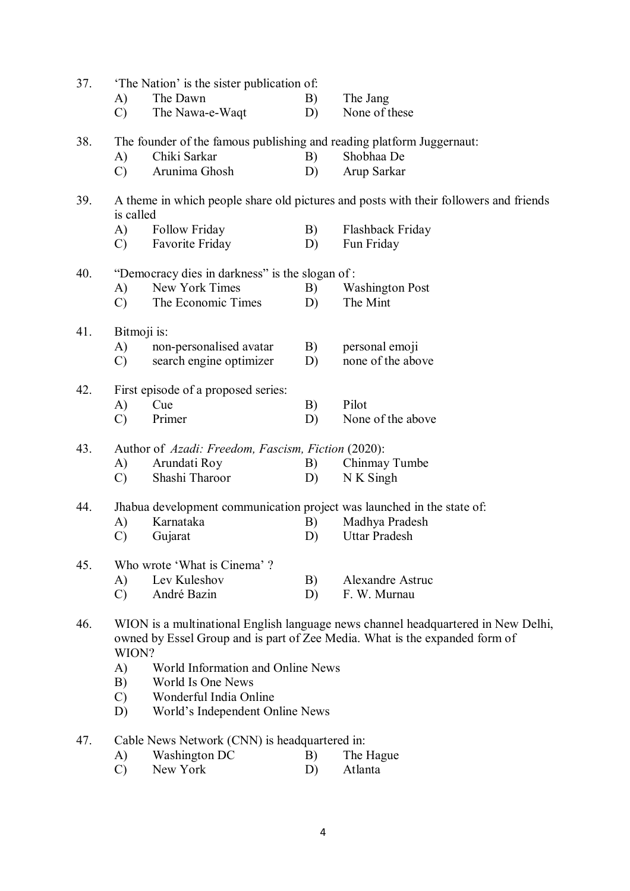| 37. | A)<br>$\mathcal{C}$                                                                                                                                                                                                                                                                                                                 | The Nation' is the sister publication of:<br>The Dawn<br>The Nawa-e-Waqt                                                       | B)<br>D) | The Jang<br>None of these                                                                                               |  |  |  |  |  |
|-----|-------------------------------------------------------------------------------------------------------------------------------------------------------------------------------------------------------------------------------------------------------------------------------------------------------------------------------------|--------------------------------------------------------------------------------------------------------------------------------|----------|-------------------------------------------------------------------------------------------------------------------------|--|--|--|--|--|
| 38. | A)<br>$\mathcal{C}$                                                                                                                                                                                                                                                                                                                 | The founder of the famous publishing and reading platform Juggernaut:<br>Chiki Sarkar<br>Arunima Ghosh                         | B)<br>D) | Shobhaa De<br>Arup Sarkar                                                                                               |  |  |  |  |  |
| 39. | is called<br>A)<br>$\mathcal{C}$                                                                                                                                                                                                                                                                                                    | Follow Friday<br>Favorite Friday                                                                                               | B)<br>D) | A theme in which people share old pictures and posts with their followers and friends<br>Flashback Friday<br>Fun Friday |  |  |  |  |  |
| 40. | A)<br>$\mathcal{C}$                                                                                                                                                                                                                                                                                                                 | "Democracy dies in darkness" is the slogan of:<br>New York Times<br>The Economic Times                                         | B)<br>D) | <b>Washington Post</b><br>The Mint                                                                                      |  |  |  |  |  |
| 41. | Bitmoji is:<br>A)<br>$\mathcal{C}$                                                                                                                                                                                                                                                                                                  | non-personalised avatar<br>search engine optimizer                                                                             | B)<br>D) | personal emoji<br>none of the above                                                                                     |  |  |  |  |  |
| 42. | A)<br>$\mathcal{C}$                                                                                                                                                                                                                                                                                                                 | First episode of a proposed series:<br>Pilot<br>Cue<br>B)<br>None of the above<br>Primer<br>D)                                 |          |                                                                                                                         |  |  |  |  |  |
| 43. | A)<br>$\mathcal{C}$                                                                                                                                                                                                                                                                                                                 | Author of Azadi: Freedom, Fascism, Fiction (2020):<br>Arundati Roy<br>Chinmay Tumbe<br>B)<br>Shashi Tharoor<br>N K Singh<br>D) |          |                                                                                                                         |  |  |  |  |  |
| 44. | A)<br>$\mathcal{C}$                                                                                                                                                                                                                                                                                                                 | Jhabua development communication project was launched in the state of:<br>Karnataka<br>Gujarat                                 | B)<br>D) | Madhya Pradesh<br><b>Uttar Pradesh</b>                                                                                  |  |  |  |  |  |
| 45. | A)<br>$\mathcal{C}$                                                                                                                                                                                                                                                                                                                 | Who wrote 'What is Cinema'?<br>Lev Kuleshov<br>André Bazin                                                                     | B)<br>D) | Alexandre Astruc<br>F. W. Murnau                                                                                        |  |  |  |  |  |
| 46. | WION is a multinational English language news channel headquartered in New Delhi,<br>owned by Essel Group and is part of Zee Media. What is the expanded form of<br>WION?<br>World Information and Online News<br>A)<br>World Is One News<br>B)<br>$\mathcal{C}$<br>Wonderful India Online<br>World's Independent Online News<br>D) |                                                                                                                                |          |                                                                                                                         |  |  |  |  |  |
| 47. | A)<br>$\mathcal{C}$                                                                                                                                                                                                                                                                                                                 | Cable News Network (CNN) is headquartered in:<br>Washington DC<br>New York                                                     | B)<br>D) | The Hague<br>Atlanta                                                                                                    |  |  |  |  |  |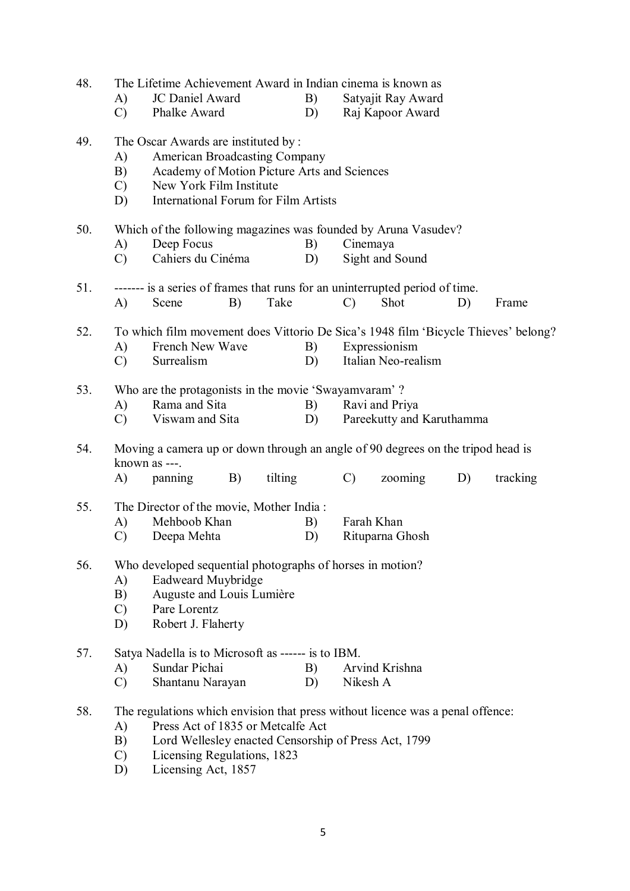| 48. |               | The Lifetime Achievement Award in Indian cinema is known as                                      |         |                                                                                    |                 |                           |    |          |  |  |  |  |
|-----|---------------|--------------------------------------------------------------------------------------------------|---------|------------------------------------------------------------------------------------|-----------------|---------------------------|----|----------|--|--|--|--|
|     | A)            | JC Daniel Award                                                                                  |         | B)                                                                                 |                 | Satyajit Ray Award        |    |          |  |  |  |  |
|     | $\mathcal{C}$ | Phalke Award                                                                                     |         | D)                                                                                 |                 | Raj Kapoor Award          |    |          |  |  |  |  |
| 49. |               | The Oscar Awards are instituted by:                                                              |         |                                                                                    |                 |                           |    |          |  |  |  |  |
|     | A)            | <b>American Broadcasting Company</b>                                                             |         |                                                                                    |                 |                           |    |          |  |  |  |  |
|     | B)            | Academy of Motion Picture Arts and Sciences                                                      |         |                                                                                    |                 |                           |    |          |  |  |  |  |
|     | $\mathcal{C}$ | New York Film Institute                                                                          |         |                                                                                    |                 |                           |    |          |  |  |  |  |
|     | D)            | International Forum for Film Artists                                                             |         |                                                                                    |                 |                           |    |          |  |  |  |  |
| 50. |               | Which of the following magazines was founded by Aruna Vasudev?                                   |         |                                                                                    |                 |                           |    |          |  |  |  |  |
|     | A)            | Deep Focus                                                                                       |         | B)                                                                                 |                 | Cinemaya                  |    |          |  |  |  |  |
|     | $\mathcal{C}$ | Cahiers du Cinéma                                                                                |         | D)                                                                                 |                 | Sight and Sound           |    |          |  |  |  |  |
| 51. |               | ------- is a series of frames that runs for an uninterrupted period of time.                     |         |                                                                                    |                 |                           |    |          |  |  |  |  |
|     | A)            | Scene<br>B)                                                                                      | Take    |                                                                                    | $\mathcal{C}$   | Shot                      | D) | Frame    |  |  |  |  |
| 52. |               |                                                                                                  |         | To which film movement does Vittorio De Sica's 1948 film 'Bicycle Thieves' belong? |                 |                           |    |          |  |  |  |  |
|     | A)            | French New Wave                                                                                  |         | B)                                                                                 |                 | Expressionism             |    |          |  |  |  |  |
|     | $\mathcal{C}$ | Surrealism                                                                                       |         | D)                                                                                 |                 | Italian Neo-realism       |    |          |  |  |  |  |
| 53. |               | Who are the protagonists in the movie 'Swayamvaram'?                                             |         |                                                                                    |                 |                           |    |          |  |  |  |  |
|     | A)            | Rama and Sita                                                                                    | B)      |                                                                                    | Ravi and Priya  |                           |    |          |  |  |  |  |
|     | $\mathcal{C}$ | Viswam and Sita                                                                                  |         | D)                                                                                 |                 | Pareekutty and Karuthamma |    |          |  |  |  |  |
| 54. |               | Moving a camera up or down through an angle of 90 degrees on the tripod head is<br>known as ---. |         |                                                                                    |                 |                           |    |          |  |  |  |  |
|     | A)            | B)<br>panning                                                                                    | tilting |                                                                                    | $\mathcal{C}$   | zooming                   | D) | tracking |  |  |  |  |
| 55. |               | The Director of the movie, Mother India:                                                         |         |                                                                                    |                 |                           |    |          |  |  |  |  |
|     | A)            | Mehboob Khan                                                                                     |         | B)                                                                                 |                 | Farah Khan                |    |          |  |  |  |  |
|     | $\mathcal{C}$ | Deepa Mehta                                                                                      |         | D)                                                                                 | Rituparna Ghosh |                           |    |          |  |  |  |  |
| 56. |               | Who developed sequential photographs of horses in motion?                                        |         |                                                                                    |                 |                           |    |          |  |  |  |  |
|     | A)            | <b>Eadweard Muybridge</b>                                                                        |         |                                                                                    |                 |                           |    |          |  |  |  |  |
|     | B)            | Auguste and Louis Lumière                                                                        |         |                                                                                    |                 |                           |    |          |  |  |  |  |
|     | $\mathcal{C}$ | Pare Lorentz                                                                                     |         |                                                                                    |                 |                           |    |          |  |  |  |  |
|     | D)            | Robert J. Flaherty                                                                               |         |                                                                                    |                 |                           |    |          |  |  |  |  |
| 57. |               | Satya Nadella is to Microsoft as ------ is to IBM.                                               |         |                                                                                    |                 |                           |    |          |  |  |  |  |
|     | A)            | Sundar Pichai                                                                                    |         | B)                                                                                 |                 | Arvind Krishna            |    |          |  |  |  |  |
|     | $\mathcal{C}$ | Shantanu Narayan                                                                                 |         | D)                                                                                 | Nikesh A        |                           |    |          |  |  |  |  |
| 58. |               | The regulations which envision that press without licence was a penal offence:                   |         |                                                                                    |                 |                           |    |          |  |  |  |  |
|     | A)            | Press Act of 1835 or Metcalfe Act                                                                |         |                                                                                    |                 |                           |    |          |  |  |  |  |
|     | B)            | Lord Wellesley enacted Censorship of Press Act, 1799                                             |         |                                                                                    |                 |                           |    |          |  |  |  |  |
|     | $\mathcal{C}$ | Licensing Regulations, 1823                                                                      |         |                                                                                    |                 |                           |    |          |  |  |  |  |
|     | $\mathbf{D}$  | $\omega$ and $\omega$ = $\Lambda$ at 1057                                                        |         |                                                                                    |                 |                           |    |          |  |  |  |  |

D) Licensing Act, 1857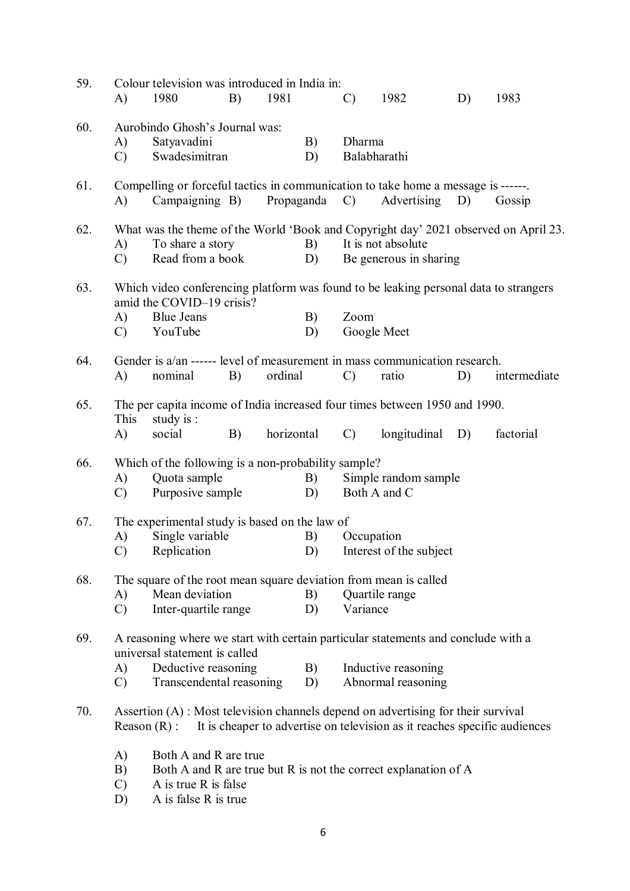| 59. | A)                              | Colour television was introduced in India in:<br>1980                                                                                       | B) | 1981       |            | $\mathcal{C}$           | 1982                                                                      | D) | 1983                                                                                |  |  |  |
|-----|---------------------------------|---------------------------------------------------------------------------------------------------------------------------------------------|----|------------|------------|-------------------------|---------------------------------------------------------------------------|----|-------------------------------------------------------------------------------------|--|--|--|
| 60. | A)<br>$\mathcal{C}$             | Aurobindo Ghosh's Journal was:<br>Satyavadini<br>Swadesimitran                                                                              |    |            | B)<br>D)   | Dharma                  | Balabharathi                                                              |    |                                                                                     |  |  |  |
| 61. | A)                              | Compelling or forceful tactics in communication to take home a message is ------.<br>Campaigning B)                                         |    |            | Propaganda | $\mathcal{C}$           | Advertising                                                               | D) | Gossip                                                                              |  |  |  |
| 62. | A)<br>$\mathcal{C}$             | To share a story<br>Read from a book                                                                                                        |    |            | B)<br>D)   |                         | It is not absolute<br>Be generous in sharing                              |    | What was the theme of the World 'Book and Copyright day' 2021 observed on April 23. |  |  |  |
| 63. |                                 | Which video conferencing platform was found to be leaking personal data to strangers<br>amid the COVID-19 crisis?                           |    |            |            |                         |                                                                           |    |                                                                                     |  |  |  |
|     | A)<br>$\mathcal{C}$             | <b>Blue Jeans</b><br>YouTube                                                                                                                |    |            | B)<br>D)   | Zoom                    | Google Meet                                                               |    |                                                                                     |  |  |  |
| 64. | A)                              | Gender is a/an ------ level of measurement in mass communication research.<br>nominal                                                       | B) | ordinal    |            | $\mathcal{C}$           | ratio                                                                     | D) | intermediate                                                                        |  |  |  |
| 65. | This                            | The per capita income of India increased four times between 1950 and 1990.<br>study is :                                                    |    |            |            |                         |                                                                           |    |                                                                                     |  |  |  |
|     | A)                              | social                                                                                                                                      | B) | horizontal |            | $\mathcal{C}$           | longitudinal                                                              | D) | factorial                                                                           |  |  |  |
| 66. | A)<br>$\mathcal{C}$             | Which of the following is a non-probability sample?<br>Quota sample<br>Simple random sample<br>B)<br>Both A and C<br>Purposive sample<br>D) |    |            |            |                         |                                                                           |    |                                                                                     |  |  |  |
| 67. |                                 | The experimental study is based on the law of                                                                                               |    |            |            |                         |                                                                           |    |                                                                                     |  |  |  |
|     | A)                              | Single variable                                                                                                                             |    |            | B)         | Occupation              |                                                                           |    |                                                                                     |  |  |  |
|     | C)                              | Replication                                                                                                                                 |    |            | D)         | Interest of the subject |                                                                           |    |                                                                                     |  |  |  |
| 68. |                                 | The square of the root mean square deviation from mean is called                                                                            |    |            |            |                         |                                                                           |    |                                                                                     |  |  |  |
|     | A)                              | Mean deviation                                                                                                                              |    |            | B)         |                         | Quartile range                                                            |    |                                                                                     |  |  |  |
|     | $\mathcal{C}$                   | Inter-quartile range                                                                                                                        |    |            | D)         | Variance                |                                                                           |    |                                                                                     |  |  |  |
| 69. |                                 | A reasoning where we start with certain particular statements and conclude with a<br>universal statement is called                          |    |            |            |                         |                                                                           |    |                                                                                     |  |  |  |
|     | A)<br>$\mathcal{C}$             | Deductive reasoning<br>Transcendental reasoning                                                                                             |    |            | B)<br>D)   |                         | Inductive reasoning<br>Abnormal reasoning                                 |    |                                                                                     |  |  |  |
| 70. |                                 | Assertion $(A)$ : Most television channels depend on advertising for their survival<br>Reason $(R)$ :                                       |    |            |            |                         | It is cheaper to advertise on television as it reaches specific audiences |    |                                                                                     |  |  |  |
|     | A)<br>B)<br>$\mathcal{C}$<br>D) | Both A and R are true<br>A is true R is false<br>A is false R is true                                                                       |    |            |            |                         | Both A and R are true but R is not the correct explanation of A           |    |                                                                                     |  |  |  |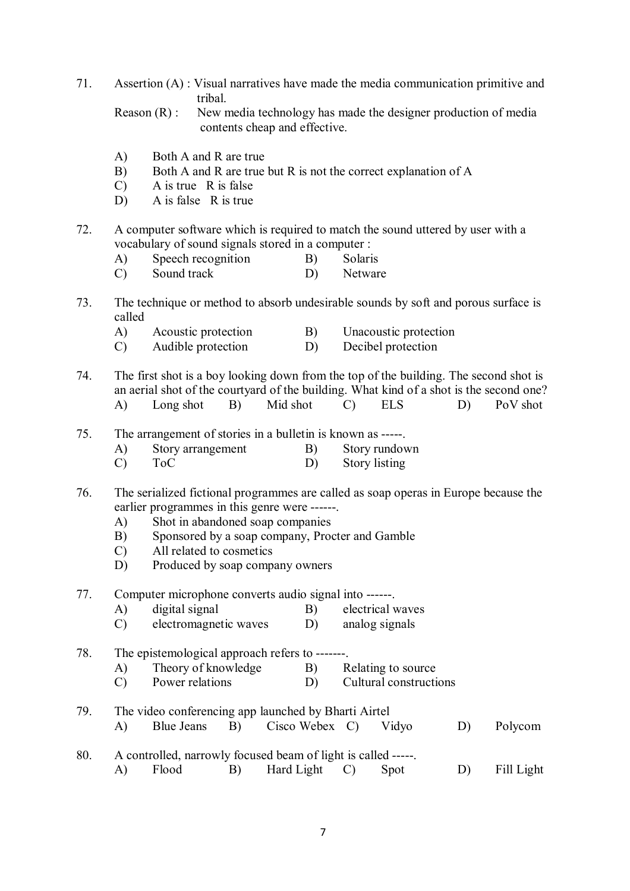71. Assertion (A) : Visual narratives have made the media communication primitive and tribal.

Reason (R) : New media technology has made the designer production of media contents cheap and effective.

- A) Both A and R are true
- B) Both A and R are true but R is not the correct explanation of A
- C) A is true R is false
- D) A is false R is true
- 72. A computer software which is required to match the sound uttered by user with a vocabulary of sound signals stored in a computer :
	- A) Speech recognition B) Solaris
	- C) Sound track D) Netware
- 73. The technique or method to absorb undesirable sounds by soft and porous surface is called
	- A) Acoustic protection B) Unacoustic protection
	- C) Audible protection D) Decibel protection
- 74. The first shot is a boy looking down from the top of the building. The second shot is an aerial shot of the courtyard of the building. What kind of a shot is the second one? A) Long shot B) Mid shot C) ELS D) PoV shot
- 75. The arrangement of stories in a bulletin is known as -----.<br>A) Story arrangement B) Story rundown
	- A) Story arrangement B)
	- C) To C D) Story listing
- 76. The serialized fictional programmes are called as soap operas in Europe because the earlier programmes in this genre were ------.
	- A) Shot in abandoned soap companies
	- B) Sponsored by a soap company, Procter and Gamble
	- C) All related to cosmetics
	- D) Produced by soap company owners

#### 77. Computer microphone converts audio signal into ------.

A) digital signal B) electrical waves

## C) electromagnetic waves D) analog signals

### 78. The epistemological approach refers to -------.

- A) Theory of knowledge B) Relating to source
- C) Power relations D) Cultural constructions
- 79. The video conferencing app launched by Bharti Airtel A) Blue Jeans B) Cisco Webex C) Vidyo D) Polycom 80. A controlled, narrowly focused beam of light is called -----.
- A) Flood B) Hard Light C) Spot D) Fill Light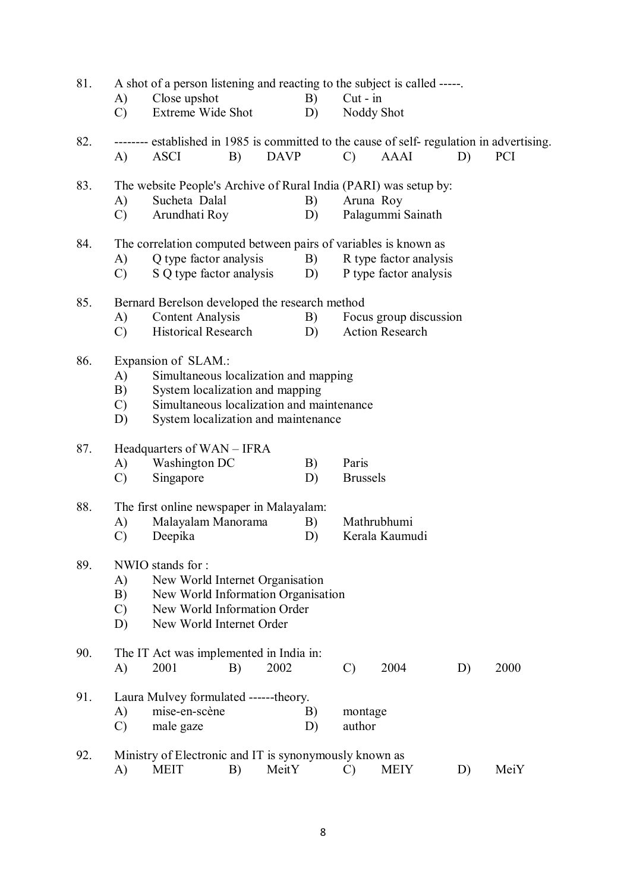| 81. | A)<br>$\mathcal{C}$             | Close upshot<br>Extreme Wide Shot                                                                                                                                                   |    |             | B)<br>D)                                         | A shot of a person listening and reacting to the subject is called -----<br>$Cut - in$<br>Noddy Shot                |                   |    |    |            |  |  |
|-----|---------------------------------|-------------------------------------------------------------------------------------------------------------------------------------------------------------------------------------|----|-------------|--------------------------------------------------|---------------------------------------------------------------------------------------------------------------------|-------------------|----|----|------------|--|--|
| 82. | A)                              | -------- established in 1985 is committed to the cause of self-regulation in advertising.<br><b>ASCI</b>                                                                            | B) | <b>DAVP</b> |                                                  | $\mathcal{C}$                                                                                                       | <b>AAAI</b>       |    | D) | <b>PCI</b> |  |  |
| 83. | A)<br>$\mathcal{C}$             | The website People's Archive of Rural India (PARI) was setup by:<br>Sucheta Dalal<br>Arundhati Roy                                                                                  |    |             | B)<br>D)                                         | Aruna Roy                                                                                                           | Palagummi Sainath |    |    |            |  |  |
| 84. | A)<br>$\mathcal{C}$             | Q type factor analysis<br>S Q type factor analysis                                                                                                                                  |    |             | B)<br>D)                                         | The correlation computed between pairs of variables is known as<br>R type factor analysis<br>P type factor analysis |                   |    |    |            |  |  |
| 85. | A)<br>$\mathcal{C}$             | Bernard Berelson developed the research method<br><b>Content Analysis</b><br><b>Historical Research</b>                                                                             |    | B)<br>D)    | Focus group discussion<br><b>Action Research</b> |                                                                                                                     |                   |    |    |            |  |  |
| 86. | A)<br>B)<br>$\mathcal{C}$<br>D) | Expansion of SLAM.:<br>Simultaneous localization and mapping<br>System localization and mapping<br>Simultaneous localization and maintenance<br>System localization and maintenance |    |             |                                                  |                                                                                                                     |                   |    |    |            |  |  |
| 87. | A)<br>$\mathcal{C}$             | Headquarters of WAN - IFRA<br>Washington DC<br>B)<br>Singapore<br>D)                                                                                                                |    |             |                                                  | Paris<br><b>Brussels</b>                                                                                            |                   |    |    |            |  |  |
| 88. | A)<br>$\mathcal{C}$             | The first online newspaper in Malayalam:<br>Malayalam Manorama<br>Deepika                                                                                                           |    |             | B)<br>D)                                         | Mathrubhumi<br>Kerala Kaumudi                                                                                       |                   |    |    |            |  |  |
| 89. | A)<br>B)<br>$\mathcal{C}$<br>D) | NWIO stands for:<br>New World Internet Organisation<br>New World Information Organisation<br>New World Information Order<br>New World Internet Order                                |    |             |                                                  |                                                                                                                     |                   |    |    |            |  |  |
| 90. | A)                              | The IT Act was implemented in India in:<br>2001                                                                                                                                     | B) | 2002        |                                                  | $\mathcal{C}$                                                                                                       | 2004              | D) |    | 2000       |  |  |
| 91. | A)<br>$\mathcal{C}$             | Laura Mulvey formulated ------theory.<br>mise-en-scène<br>male gaze                                                                                                                 |    |             | B)<br>D)                                         | montage<br>author                                                                                                   |                   |    |    |            |  |  |
| 92. | A)                              | Ministry of Electronic and IT is synonymously known as<br><b>MEIT</b>                                                                                                               | B) | MeitY       |                                                  | C)                                                                                                                  | <b>MEIY</b>       |    | D) | MeiY       |  |  |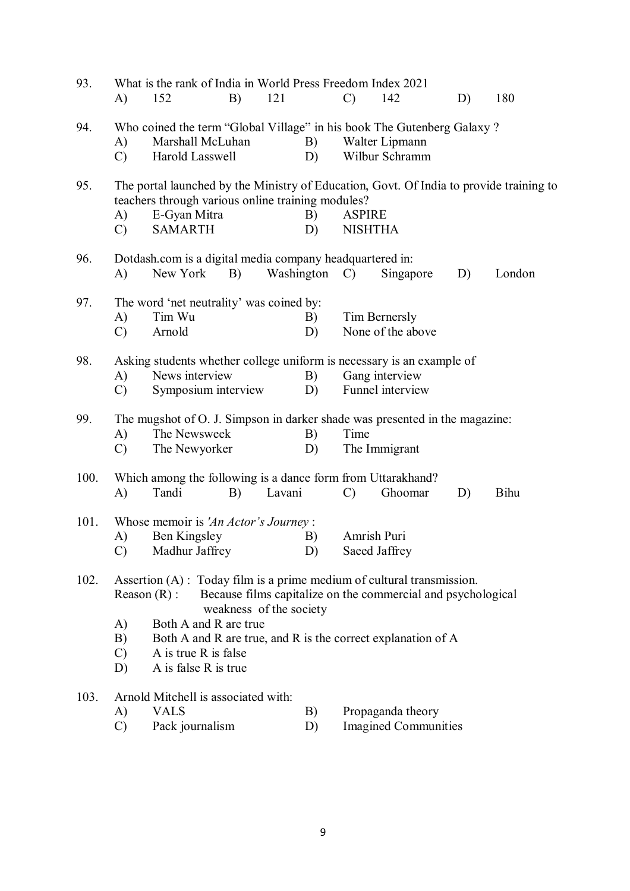| 93.  |                                                                                                                                                            | What is the rank of India in World Press Freedom Index 2021                                                                                                  |                         |            |          |                   |                             |    |             |  |  |  |  |
|------|------------------------------------------------------------------------------------------------------------------------------------------------------------|--------------------------------------------------------------------------------------------------------------------------------------------------------------|-------------------------|------------|----------|-------------------|-----------------------------|----|-------------|--|--|--|--|
|      | A)                                                                                                                                                         | 152                                                                                                                                                          | B)                      | 121        |          | $\mathcal{C}$     | 142                         | D) | 180         |  |  |  |  |
| 94.  |                                                                                                                                                            | Who coined the term "Global Village" in his book The Gutenberg Galaxy ?                                                                                      |                         |            |          |                   |                             |    |             |  |  |  |  |
|      | A)                                                                                                                                                         | Marshall McLuhan                                                                                                                                             |                         |            | B)       |                   | Walter Lipmann              |    |             |  |  |  |  |
|      | $\mathcal{C}$                                                                                                                                              | Harold Lasswell                                                                                                                                              |                         |            | D)       |                   | Wilbur Schramm              |    |             |  |  |  |  |
| 95.  | A)                                                                                                                                                         | The portal launched by the Ministry of Education, Govt. Of India to provide training to<br>teachers through various online training modules?<br>E-Gyan Mitra |                         |            | B)       | <b>ASPIRE</b>     |                             |    |             |  |  |  |  |
|      | $\mathcal{C}$                                                                                                                                              | <b>SAMARTH</b>                                                                                                                                               |                         |            | D)       | <b>NISHTHA</b>    |                             |    |             |  |  |  |  |
| 96.  |                                                                                                                                                            | Dotdash.com is a digital media company headquartered in:                                                                                                     |                         |            |          |                   |                             |    |             |  |  |  |  |
|      | A)                                                                                                                                                         | New York                                                                                                                                                     | B)                      | Washington |          | $\mathcal{C}$     | Singapore                   | D) | London      |  |  |  |  |
| 97.  |                                                                                                                                                            | The word 'net neutrality' was coined by:                                                                                                                     |                         |            |          |                   |                             |    |             |  |  |  |  |
|      | A)                                                                                                                                                         | Tim Wu                                                                                                                                                       |                         |            | B)       |                   | Tim Bernersly               |    |             |  |  |  |  |
|      | $\mathcal{C}$                                                                                                                                              | Arnold                                                                                                                                                       |                         |            | D)       | None of the above |                             |    |             |  |  |  |  |
| 98.  |                                                                                                                                                            | Asking students whether college uniform is necessary is an example of                                                                                        |                         |            |          |                   |                             |    |             |  |  |  |  |
|      | A)                                                                                                                                                         | News interview                                                                                                                                               |                         |            | B)       |                   | Gang interview              |    |             |  |  |  |  |
|      | $\mathcal{C}$                                                                                                                                              | Symposium interview                                                                                                                                          |                         |            | D)       |                   | Funnel interview            |    |             |  |  |  |  |
| 99.  |                                                                                                                                                            | The mugshot of O. J. Simpson in darker shade was presented in the magazine:                                                                                  |                         |            |          |                   |                             |    |             |  |  |  |  |
|      | A)                                                                                                                                                         | The Newsweek                                                                                                                                                 |                         |            | B)<br>D) | Time              |                             |    |             |  |  |  |  |
|      | $\mathcal{C}$                                                                                                                                              | The Newyorker                                                                                                                                                |                         |            |          |                   | The Immigrant               |    |             |  |  |  |  |
| 100. | Which among the following is a dance form from Uttarakhand?                                                                                                |                                                                                                                                                              |                         |            |          |                   |                             |    |             |  |  |  |  |
|      | A)                                                                                                                                                         | Tandi                                                                                                                                                        | B)                      | Lavani     |          | $\mathcal{C}$     | Ghoomar                     | D) | <b>Bihu</b> |  |  |  |  |
| 101. |                                                                                                                                                            | Whose memoir is 'An Actor's Journey:                                                                                                                         |                         |            |          |                   |                             |    |             |  |  |  |  |
|      | A)                                                                                                                                                         | Ben Kingsley                                                                                                                                                 |                         |            | B)       |                   | Amrish Puri                 |    |             |  |  |  |  |
|      | $\mathcal{C}$                                                                                                                                              | Madhur Jaffrey                                                                                                                                               |                         |            | D)       |                   | Saeed Jaffrey               |    |             |  |  |  |  |
| 102. | Assertion $(A)$ : Today film is a prime medium of cultural transmission.<br>Because films capitalize on the commercial and psychological<br>Reason $(R)$ : |                                                                                                                                                              |                         |            |          |                   |                             |    |             |  |  |  |  |
|      |                                                                                                                                                            |                                                                                                                                                              | weakness of the society |            |          |                   |                             |    |             |  |  |  |  |
|      | A)                                                                                                                                                         | Both A and R are true                                                                                                                                        |                         |            |          |                   |                             |    |             |  |  |  |  |
|      | B)                                                                                                                                                         | Both A and R are true, and R is the correct explanation of A                                                                                                 |                         |            |          |                   |                             |    |             |  |  |  |  |
|      | $\mathcal{C}$<br>A is true R is false                                                                                                                      |                                                                                                                                                              |                         |            |          |                   |                             |    |             |  |  |  |  |
|      | D)                                                                                                                                                         | A is false R is true                                                                                                                                         |                         |            |          |                   |                             |    |             |  |  |  |  |
| 103. |                                                                                                                                                            | Arnold Mitchell is associated with:                                                                                                                          |                         |            |          |                   |                             |    |             |  |  |  |  |
|      | <b>VALS</b><br>A)                                                                                                                                          |                                                                                                                                                              |                         |            | B)       | Propaganda theory |                             |    |             |  |  |  |  |
|      | $\mathcal{C}$                                                                                                                                              | Pack journalism                                                                                                                                              |                         |            | D)       |                   | <b>Imagined Communities</b> |    |             |  |  |  |  |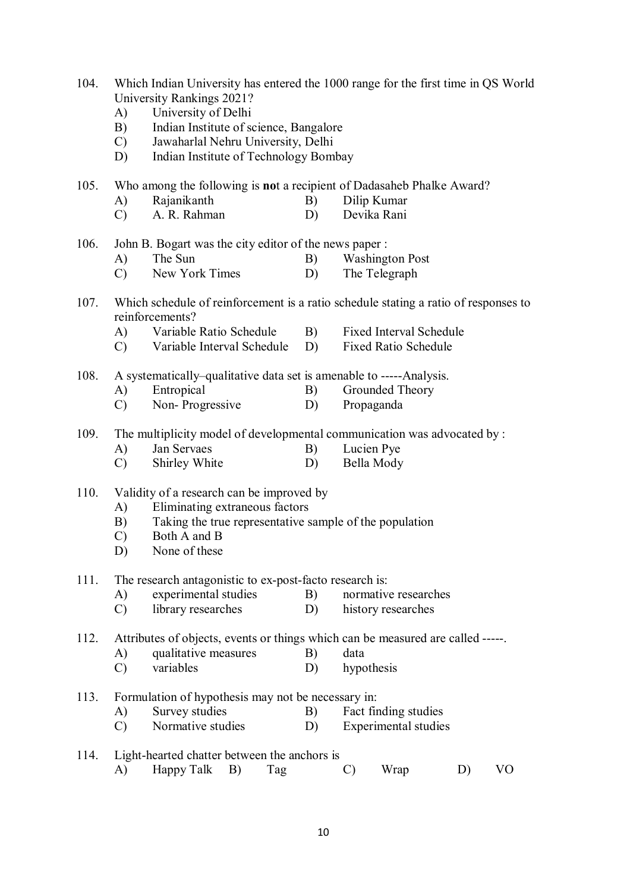| 104. | A)<br>B)<br>$\mathcal{C}$<br>D) | Which Indian University has entered the 1000 range for the first time in QS World<br>University Rankings 2021?<br>University of Delhi<br>Indian Institute of science, Bangalore<br>Jawaharlal Nehru University, Delhi<br>Indian Institute of Technology Bombay                                                      |          |                                                                                                     |  |  |  |  |  |  |  |  |  |
|------|---------------------------------|---------------------------------------------------------------------------------------------------------------------------------------------------------------------------------------------------------------------------------------------------------------------------------------------------------------------|----------|-----------------------------------------------------------------------------------------------------|--|--|--|--|--|--|--|--|--|
| 105. | A)<br>$\mathcal{C}$             | Rajanikanth<br>A. R. Rahman                                                                                                                                                                                                                                                                                         | B)<br>D) | Who among the following is not a recipient of Dadasaheb Phalke Award?<br>Dilip Kumar<br>Devika Rani |  |  |  |  |  |  |  |  |  |
| 106. | A)<br>$\mathcal{C}$             | John B. Bogart was the city editor of the news paper:<br>The Sun<br>New York Times                                                                                                                                                                                                                                  | B)<br>D) | <b>Washington Post</b><br>The Telegraph                                                             |  |  |  |  |  |  |  |  |  |
| 107. | A)<br>$\mathcal{C}$ )           | Which schedule of reinforcement is a ratio schedule stating a ratio of responses to<br>reinforcements?<br>Variable Ratio Schedule<br>B)<br><b>Fixed Interval Schedule</b><br>Variable Interval Schedule<br>D)<br><b>Fixed Ratio Schedule</b><br>A systematically–qualitative data set is amenable to -----Analysis. |          |                                                                                                     |  |  |  |  |  |  |  |  |  |
| 108. | A)<br>$\mathcal{C}$             | Entropical<br>B)<br>Grounded Theory<br>Non-Progressive<br>Propaganda<br>D)                                                                                                                                                                                                                                          |          |                                                                                                     |  |  |  |  |  |  |  |  |  |
| 109. | A)<br>$\mathcal{C}$             | Jan Servaes<br>Shirley White                                                                                                                                                                                                                                                                                        | B)<br>D) | The multiplicity model of developmental communication was advocated by:<br>Lucien Pye<br>Bella Mody |  |  |  |  |  |  |  |  |  |
| 110. | A)<br>B)<br>$\mathcal{C}$<br>D) | Validity of a research can be improved by<br>Eliminating extraneous factors<br>Taking the true representative sample of the population<br>Both A and B<br>None of these                                                                                                                                             |          |                                                                                                     |  |  |  |  |  |  |  |  |  |
| 111. | A)<br>$\mathcal{C}$             | The research antagonistic to ex-post-facto research is:<br>experimental studies<br>library researches                                                                                                                                                                                                               | B)<br>D) | normative researches<br>history researches                                                          |  |  |  |  |  |  |  |  |  |
| 112. | A)<br>$\mathcal{C}$             | Attributes of objects, events or things which can be measured are called -----.<br>qualitative measures<br>B)<br>data<br>variables<br>D)<br>hypothesis                                                                                                                                                              |          |                                                                                                     |  |  |  |  |  |  |  |  |  |
| 113. | A)<br>$\mathcal{C}$             | Formulation of hypothesis may not be necessary in:<br>Survey studies<br>Normative studies                                                                                                                                                                                                                           | B)<br>D) | Fact finding studies<br><b>Experimental studies</b>                                                 |  |  |  |  |  |  |  |  |  |
| 114. | A)                              | Light-hearted chatter between the anchors is<br>Happy Talk<br>B)<br>Tag                                                                                                                                                                                                                                             |          | Wrap<br>V <sub>O</sub><br>$\mathcal{C}$<br>D)                                                       |  |  |  |  |  |  |  |  |  |